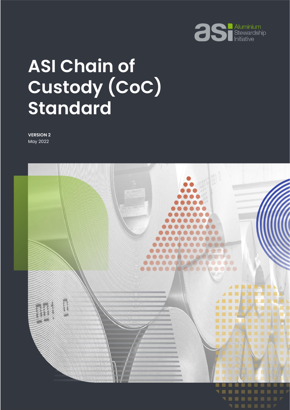

# **ASI Chain of Custody (CoC) Standard**

**VERSION 2** May 2022

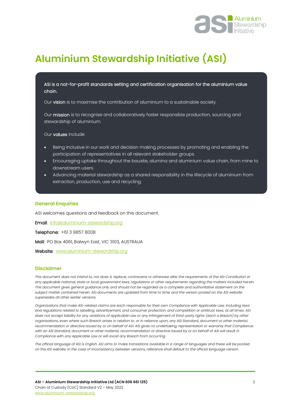

# **Aluminium Stewardship Initiative (ASI)**

ASI is a not-for-profit standards setting and certification organisation for the aluminium value chain.

Our vision is to maximise the contribution of aluminium to a sustainable society.

Our mission is to recognise and collaboratively foster responsible production, sourcing and stewardship of aluminium.

Our values include:

I I I I I I I I I I I I I I I I I I

- Being inclusive in our work and decision making processes by promoting and enabling the participation of representatives in all relevant stakeholder groups.
- Encouraging uptake throughout the bauxite, alumina and aluminium value chain, from mine to downstream users.
- Advancing material stewardship as a shared responsibility in the lifecycle of aluminium from extraction, production, use and recycling.

#### **General Enquiries**

ASI welcomes questions and feedback on this document.

Email: [info@aluminium-stewardship.org](mailto:info@aluminium-stewardship.org) 

Telephone: +61 3 9857 8008

Mail: PO Box 4061, Balwyn East, VIC 3103, AUSTRALIA

Website: [www.aluminium-stewardship.org](http://www.aluminium-stewardship.org/)

#### **Disclaimer**

*This document does not intend to, nor does it, replace, contravene or otherwise alter the requirements of the ASI Constitution or any applicable national, state or local government laws, regulations or other requirements regarding the matters included herein. This document gives general guidance only and should not be regarded as a complete and authoritative statement on the subject matter contained herein. ASI documents are updated from time to time, and the version posted on the ASI website supersedes all other earlier versions.*

*Organisations that make ASI-related claims are each responsible for their own Compliance with Applicable Law, including laws and regulations related to labelling, advertisement, and consumer protection, and competition or antitrust laws, at all times. ASI does not accept liability for any violations of Applicable Law or any infringement of third-party rights (each a Breach) by other organisations, even where such Breach arises in relation to, or in reliance upon, any ASI Standard, document or other material, recommendation or directive issued by or on behalf of ASI. ASI gives no undertaking, representation or warranty that Compliance with an ASI Standard, document or other material, recommendation or directive issued by or on behalf of ASI will result in Compliance with any Applicable Law or will avoid any Breach from occurring.*

*The official language of ASI is English. ASI aims to make translations available in a range of languages and these will be posted on the ASI website. In the case of inconsistency between versions, reference shall default to the official language version.*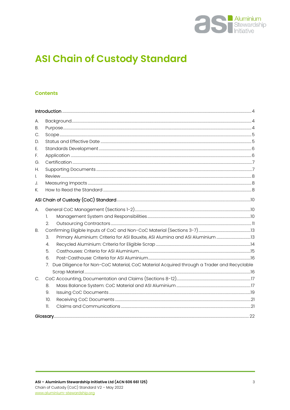

# **ASI Chain of Custody Standard**

#### **Contents**

| А. |                                                                                                             |                                                                               |  |
|----|-------------------------------------------------------------------------------------------------------------|-------------------------------------------------------------------------------|--|
| В. |                                                                                                             |                                                                               |  |
| С. |                                                                                                             |                                                                               |  |
| D. |                                                                                                             |                                                                               |  |
| Е. |                                                                                                             |                                                                               |  |
| F. |                                                                                                             |                                                                               |  |
| G. |                                                                                                             |                                                                               |  |
| Н. |                                                                                                             |                                                                               |  |
| I. |                                                                                                             |                                                                               |  |
| J. |                                                                                                             |                                                                               |  |
| К. |                                                                                                             |                                                                               |  |
|    |                                                                                                             |                                                                               |  |
| А. |                                                                                                             |                                                                               |  |
|    | 1.                                                                                                          |                                                                               |  |
|    | 2.                                                                                                          |                                                                               |  |
| В. |                                                                                                             |                                                                               |  |
|    | 3.                                                                                                          | Primary Aluminium: Criteria for ASI Bauxite, ASI Alumina and ASI Aluminium 13 |  |
|    | 4.                                                                                                          |                                                                               |  |
|    | 5.                                                                                                          |                                                                               |  |
|    | 6.                                                                                                          |                                                                               |  |
|    | Due Diligence for Non-CoC Material, CoC Material Acquired through a Trader and Recyclable<br>7 <sub>1</sub> |                                                                               |  |
|    |                                                                                                             |                                                                               |  |
| C. |                                                                                                             |                                                                               |  |
|    | 8.                                                                                                          |                                                                               |  |
|    | 9.                                                                                                          |                                                                               |  |
|    | 10.                                                                                                         |                                                                               |  |
|    | $\mathbf{L}$                                                                                                |                                                                               |  |
|    |                                                                                                             |                                                                               |  |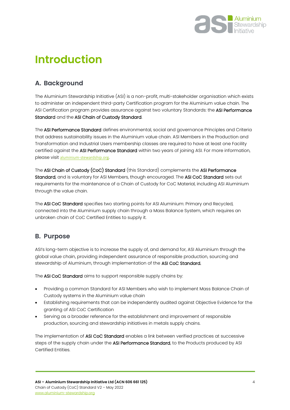

# <span id="page-3-0"></span>**Introduction**

# <span id="page-3-1"></span>**A. Background**

The Aluminium Stewardship Initiative (ASI) is a non-profit, multi-stakeholder organisation which exists to administer an independent third-party Certification program for the Aluminium value chain. The ASI Certification program provides assurance against two voluntary Standards: the ASI Performance Standard and the ASI Chain of Custody Standard.

The ASI Performance Standard defines environmental, social and governance Principles and Criteria that address sustainability issues in the Aluminium value chain. ASI Members in the Production and Transformation and Industrial Users membership classes are required to have at least one Facility certified against the ASI Performance Standard within two years of joining ASI. For more information, please visit [aluminium-stewardship.org](file:///C:/Users/FionaSolomon/Box%20Sync/Standards/ASI%20Chain%20of%20Custody%20Standard/Draft%203/aluminium-stewardship.org).

The ASI Chain of Custody (CoC) Standard (this Standard) complements the ASI Performance Standard, and is voluntary for ASI Members, though encouraged. The ASI CoC Standard sets out requirements for the maintenance of a Chain of Custody for CoC Material, including ASI Aluminium through the value chain.

The ASI CoC Standard specifies two starting points for ASI Aluminium: Primary and Recycled, connected into the Aluminium supply chain through a Mass Balance System, which requires an unbroken chain of CoC Certified Entities to supply it.

### <span id="page-3-2"></span>**B. Purpose**

ASI's long-term objective is to increase the supply of, and demand for, ASI Aluminium through the global value chain, providing independent assurance of responsible production, sourcing and stewardship of Aluminium, through implementation of the ASI CoC Standard.

The ASI CoC Standard aims to support responsible supply chains by:

- Providing a common Standard for ASI Members who wish to implement Mass Balance Chain of Custody systems in the Aluminium value chain
- Establishing requirements that can be independently audited against Objective Evidence for the granting of ASI CoC Certification
- Serving as a broader reference for the establishment and improvement of responsible production, sourcing and stewardship initiatives in metals supply chains.

The implementation of ASI CoC Standard enables a link between verified practices at successive steps of the supply chain under the ASI Performance Standard, to the Products produced by ASI Certified Entities.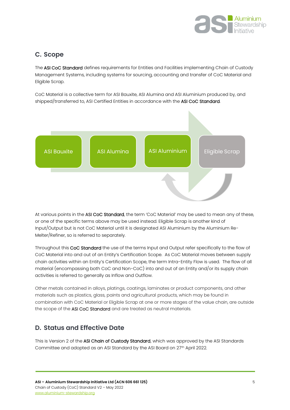

### <span id="page-4-0"></span>**C. Scope**

The ASI CoC Standard defines requirements for Entities and Facilities implementing Chain of Custody Management Systems, including systems for sourcing, accounting and transfer of CoC Material and Eligible Scrap.

CoC Material is a collective term for ASI Bauxite, ASI Alumina and ASI Aluminium produced by, and shipped/transferred to, ASI Certified Entities in accordance with the ASI CoC Standard.



At various points in the ASI CoC Standard, the term 'CoC Material' may be used to mean any of these, or one of the specific terms above may be used instead. Eligible Scrap is another kind of Input/Output but is not CoC Material until it is designated ASI Aluminium by the Aluminium Re-Melter/Refiner, so is referred to separately.

Throughout this CoC Standard the use of the terms Input and Output refer specifically to the flow of CoC Material into and out of an Entity's Certification Scope. As CoC Material moves between supply chain activities within an Entity's Certification Scope, the term Intra-Entity Flow is used. The flow of all material (encompassing both CoC and Non-CoC) into and out of an Entity and/or its supply chain activities is referred to generally as Inflow and Outflow.

Other metals contained in alloys, platings, coatings, laminates or product components, and other materials such as plastics, glass, paints and agricultural products, which may be found in combination with CoC Material or Eligible Scrap at one or more stages of the value chain, are outside the scope of the ASI CoC Standard and are treated as neutral materials.

# <span id="page-4-1"></span>**D. Status and Effective Date**

This is Version 2 of the ASI Chain of Custody Standard, which was approved by the ASI Standards Committee and adopted as an ASI Standard by the ASI Board on 27<sup>th</sup> April 2022.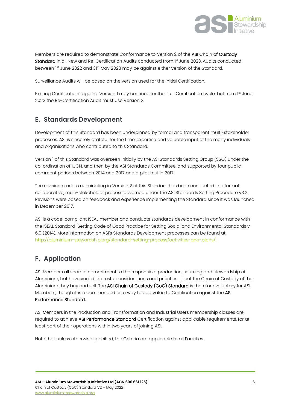

Members are required to demonstrate Conformance to Version 2 of the ASI Chain of Custody Standard in all New and Re-Certification Audits conducted from 1st June 2023. Audits conducted between 1<sup>st</sup> June 2022 and 31<sup>st</sup> May 2023 may be against either version of the Standard.

Surveillance Audits will be based on the version used for the initial Certification.

Existing Certifications against Version 1 may continue for their full Certification cycle, but from 1st June 2023 the Re-Certification Audit must use Version 2.

### <span id="page-5-0"></span>**E. Standards Development**

Development of this Standard has been underpinned by formal and transparent multi-stakeholder processes. ASI is sincerely grateful for the time, expertise and valuable input of the many individuals and organisations who contributed to this Standard.

Version 1 of this Standard was overseen initially by the ASI Standards Setting Group (SSG) under the co-ordination of IUCN, and then by the ASI Standards Committee, and supported by four public comment periods between 2014 and 2017 and a pilot test in 2017.

The revision process culminating in Version 2 of this Standard has been conducted in a formal, collaborative, multi-stakeholder process governed under the ASI Standards Setting Procedure v3.2. Revisions were based on feedback and experience implementing the Standard since it was launched in December 2017.

ASI is a code-compliant ISEAL member and conducts standards development in conformance with the ISEAL Standard-Setting Code of Good Practice for Setting Social and Environmental Standards v 6.0 (2014). More information on ASI's Standards Development processes can be found at: [http://aluminium-stewardship.org/standard-setting-process/activities-and-plans/.](http://aluminium-stewardship.org/standard-setting-process/activities-and-plans/)

# <span id="page-5-1"></span>**F. Application**

ASI Members all share a commitment to the responsible production, sourcing and stewardship of Aluminium, but have varied interests, considerations and priorities about the Chain of Custody of the Aluminium they buy and sell. The ASI Chain of Custody (CoC) Standard is therefore voluntary for ASI Members, though it is recommended as a way to add value to Certification against the ASI Performance Standard.

ASI Members in the Production and Transformation and Industrial Users membership classes are required to achieve ASI Performance Standard Certification against applicable requirements, for at least part of their operations within two years of joining ASI.

Note that unless otherwise specified, the Criteria are applicable to all Facilities.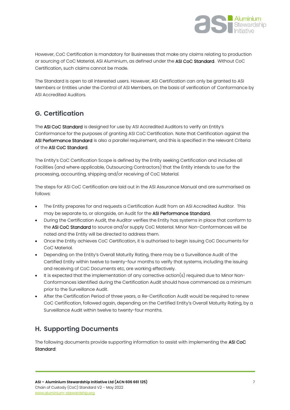

However, CoC Certification is mandatory for Businesses that make any claims relating to production or sourcing of CoC Material, ASI Aluminium, as defined under the ASI CoC Standard. Without CoC Certification, such claims cannot be made.

The Standard is open to all interested users. However, ASI Certification can only be granted to ASI Members or Entities under the Control of ASI Members, on the basis of verification of Conformance by ASI Accredited Auditors.

# <span id="page-6-0"></span>**G. Certification**

The ASI CoC Standard is designed for use by ASI Accredited Auditors to verify an Entity's Conformance for the purposes of granting ASI CoC Certification. Note that Certification against the ASI Performance Standard is also a parallel requirement, and this is specified in the relevant Criteria of the ASI CoC Standard.

The Entity's CoC Certification Scope is defined by the Entity seeking Certification and includes all Facilities (and where applicable, Outsourcing Contractors) that the Entity intends to use for the processing, accounting, shipping and/or receiving of CoC Material.

The steps for ASI CoC Certification are laid out in the ASI Assurance Manual and are summarised as follows:

- The Entity prepares for and requests a Certification Audit from an ASI Accredited Auditor. This may be separate to, or alongside, an Audit for the ASI Performance Standard.
- During the Certification Audit, the Auditor verifies the Entity has systems in place that conform to the ASI CoC Standard to source and/or supply CoC Material. Minor Non-Conformances will be noted and the Entity will be directed to address them.
- Once the Entity achieves CoC Certification, it is authorised to begin issuing CoC Documents for CoC Material.
- Depending on the Entity's Overall Maturity Rating, there may be a Surveillance Audit of the Certified Entity within twelve to twenty-four months to verify that systems, including the issuing and receiving of CoC Documents etc, are working effectively.
- It is expected that the implementation of any corrective action(s) required due to Minor Non-Conformances identified during the Certification Audit should have commenced as a minimum prior to the Surveillance Audit.
- After the Certification Period of three years, a Re-Certification Audit would be required to renew CoC Certification, followed again, depending on the Certified Entity's Overall Maturity Rating, by a Surveillance Audit within twelve to twenty-four months.

# <span id="page-6-1"></span>**H. Supporting Documents**

The following documents provide supporting information to assist with implementing the ASI CoC Standard: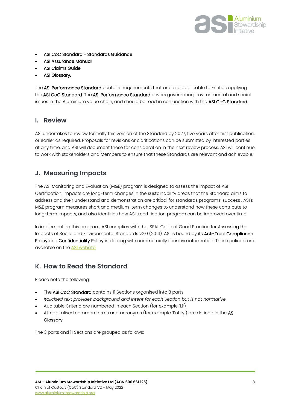

- ASI CoC Standard Standards Guidance
- ASI Assurance Manual
- ASI Claims Guide
- ASI Glossary.

The ASI Performance Standard contains requirements that are also applicable to Entities applying the ASI CoC Standard. The ASI Performance Standard covers governance, environmental and social issues in the Aluminium value chain, and should be read in conjunction with the ASI CoC Standard.

#### <span id="page-7-0"></span>**I. Review**

ASI undertakes to review formally this version of the Standard by 2027, five years after first publication, or earlier as required. Proposals for revisions or clarifications can be submitted by interested parties at any time, and ASI will document these for consideration in the next review process. ASI will continue to work with stakeholders and Members to ensure that these Standards are relevant and achievable.

### <span id="page-7-1"></span>**J. Measuring Impacts**

The ASI Monitoring and Evaluation (M&E) program is designed to assess the impact of ASI Certification. Impacts are long-term changes in the sustainability areas that the Standard aims to address and their understand and demonstration are critical for standards programs' success . ASI's M&E program measures short and medium-term changes to understand how these contribute to long-term impacts, and also identifies how ASI's certification program can be improved over time.

In implementing this program, ASI complies with the ISEAL Code of Good Practice for Assessing the Impacts of Social and Environmental Standards v2.0 (2014). ASI is bound by its **Anti-Trust Compliance** Policy and Confidentiality Policy in dealing with commercially sensitive information. These policies are available on the [ASI website.](https://aluminium-stewardship.org/about-asi/legal-finance-policies/)

### <span id="page-7-2"></span>**K. How to Read the Standard**

Please note the following:

- The ASI CoC Standard contains II Sections organised into 3 parts
- *Italicised text provides background and intent for each Section but is not normative*
- Auditable Criteria are numbered in each Section (for example '1.1')
- All capitalised common terms and acronyms (for example 'Entity') are defined in the ASI Glossary.

The 3 parts and 11 Sections are grouped as follows: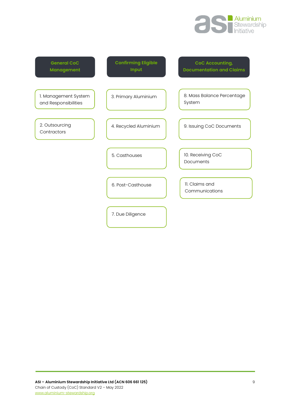

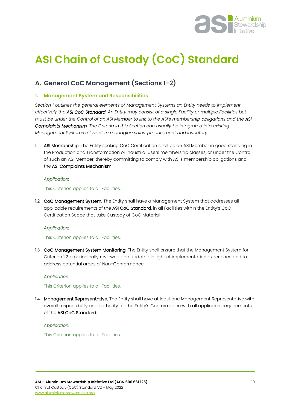

# <span id="page-9-0"></span>**ASI Chain of Custody (CoC) Standard**

# <span id="page-9-1"></span>**A. General CoC Management (Sections 1-2)**

#### <span id="page-9-2"></span>**1. Management System and Responsibilities**

*Section 1 outlines the general elements of Management Systems an Entity needs to implement effectively the ASI CoC Standard. An Entity may consist of a single Facility or multiple Facilities but must be under the Control of an ASI Member to link to the ASI's membership obligations and the ASI Complaints Mechanism. The Criteria in this Section can usually be integrated into existing Management Systems relevant to managing sales, procurement and inventory.*

1.1 ASI Membership. The Entity seeking CoC Certification shall be an ASI Member in good standing in the Production and Transformation or Industrial Users membership classes, or under the Control of such an ASI Member, thereby committing to comply with ASI's membership obligations and the ASI Complaints Mechanism.

#### *Application:*

This Criterion applies to all Facilities.

1.2 CoC Management System. The Entity shall have a Management System that addresses all applicable requirements of the ASI CoC Standard, in all Facilities within the Entity's CoC Certification Scope that take Custody of CoC Material.

#### *Application:*

This Criterion applies to all Facilities.

1.3 CoC Management System Monitoring. The Entity shall ensure that the Management System for Criterion 1.2 is periodically reviewed and updated in light of implementation experience and to address potential areas of Non-Conformance.

#### *Application:*

This Criterion applies to all Facilities.

1.4 Management Representative. The Entity shall have at least one Management Representative with overall responsibility and authority for the Entity's Conformance with all applicable requirements of the ASI CoC Standard.

#### *Application:*

This Criterion applies to all Facilities.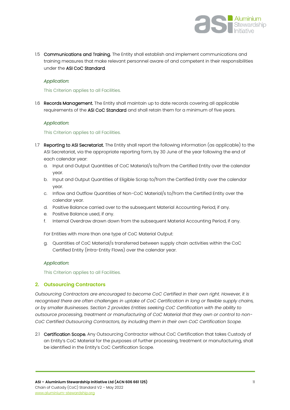

1.5 Communications and Training. The Entity shall establish and implement communications and training measures that make relevant personnel aware of and competent in their responsibilities under the ASI CoC Standard.

#### *Application:*

#### This Criterion applies to all Facilities.

1.6 Records Management. The Entity shall maintain up to date records covering all applicable requirements of the ASI CoC Standard and shall retain them for a minimum of five years.

#### *Application:*

#### This Criterion applies to all Facilities.

- 1.7 Reporting to ASI Secretariat. The Entity shall report the following information (as applicable) to the ASI Secretariat, via the appropriate reporting form, by 30 June of the year following the end of each calendar year:
	- a. Input and Output Quantities of CoC Material/s to/from the Certified Entity over the calendar year.
	- b. Input and Output Quantities of Eligible Scrap to/from the Certified Entity over the calendar year.
	- c. Inflow and Outflow Quantities of Non-CoC Material/s to/from the Certified Entity over the calendar year.
	- d. Positive Balance carried over to the subsequent Material Accounting Period, if any.
	- e. Positive Balance used, if any.
	- f. Internal Overdraw drawn down from the subsequent Material Accounting Period, if any.

For Entities with more than one type of CoC Material Output:

g. Quantities of CoC Material/s transferred between supply chain activities within the CoC Certified Entity (Intra-Entity Flows) over the calendar year.

#### *Application:*

This Criterion applies to all Facilities.

#### <span id="page-10-0"></span>**2. Outsourcing Contractors**

*Outsourcing Contractors are encouraged to become CoC Certified in their own right. However, it is recognised there are often challenges in uptake of CoC Certification in long or flexible supply chains, or by smaller Businesses. Section 2 provides Entities seeking CoC Certification with the ability to outsource processing, treatment or manufacturing of CoC Material that they own or control to non-CoC Certified Outsourcing Contractors, by including them in their own CoC Certification Scope.*

2.1 Certification Scope. Any Outsourcing Contractor without CoC Certification that takes Custody of an Entity's CoC Material for the purposes of further processing, treatment or manufacturing, shall be identified in the Entity's CoC Certification Scope.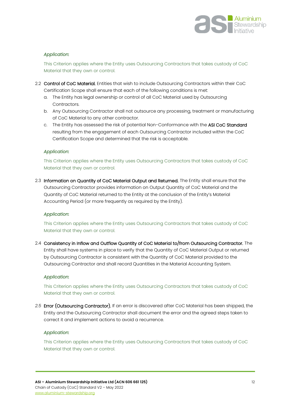

#### *Application:*

This Criterion applies where the Entity uses Outsourcing Contractors that takes custody of CoC Material that they own or control.

- 2.2 Control of CoC Material. Entities that wish to include Outsourcing Contractors within their CoC Certification Scope shall ensure that each of the following conditions is met:
	- a. The Entity has legal ownership or control of all CoC Material used by Outsourcing Contractors.
	- b. Any Outsourcing Contractor shall not outsource any processing, treatment or manufacturing of CoC Material to any other contractor.
	- c. The Entity has assessed the risk of potential Non-Conformance with the ASI CoC Standard resulting from the engagement of each Outsourcing Contractor included within the CoC Certification Scope and determined that the risk is acceptable.

#### *Application:*

This Criterion applies where the Entity uses Outsourcing Contractors that takes custody of CoC Material that they own or control.

2.3 Information on Quantity of CoC Material Output and Returned. The Entity shall ensure that the Outsourcing Contractor provides information on Output Quantity of CoC Material and the Quantity of CoC Material returned to the Entity at the conclusion of the Entity's Material Accounting Period (or more frequently as required by the Entity).

#### *Application:*

This Criterion applies where the Entity uses Outsourcing Contractors that takes custody of CoC Material that they own or control.

2.4 Consistency in Inflow and Outflow Quantity of CoC Material to/from Outsourcing Contractor. The Entity shall have systems in place to verify that the Quantity of CoC Material Output or returned by Outsourcing Contractor is consistent with the Quantity of CoC Material provided to the Outsourcing Contractor and shall record Quantities in the Material Accounting System.

#### *Application:*

This Criterion applies where the Entity uses Outsourcing Contractors that takes custody of CoC Material that they own or control.

*2.5* Error (Outsourcing Contractor). If an error is discovered after CoC Material has been shipped, the Entity and the Outsourcing Contractor shall document the error and the agreed steps taken to correct it and implement actions to avoid a recurrence.

#### *Application:*

This Criterion applies where the Entity uses Outsourcing Contractors that takes custody of CoC Material that they own or control.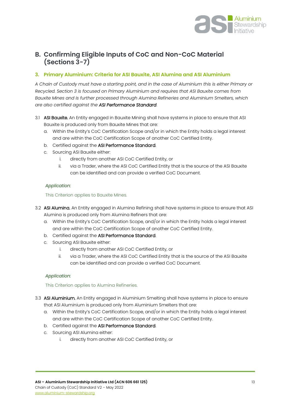

# <span id="page-12-0"></span>**B. Confirming Eligible Inputs of CoC and Non-CoC Material (Sections 3-7)**

#### <span id="page-12-1"></span>**3. Primary Aluminium: Criteria for ASI Bauxite, ASI Alumina and ASI Aluminium**

*A Chain of Custody must have a starting point, and in the case of Aluminium this is either Primary or Recycled. Section 3 is focused on Primary Aluminium and requires that ASI Bauxite comes from Bauxite Mines and is further processed through Alumina Refineries and Aluminium Smelters, which are also certified against the ASI Performance Standard.* 

- 3.1 ASI Bauxite. An Entity engaged in Bauxite Mining shall have systems in place to ensure that ASI Bauxite is produced only from Bauxite Mines that are:
	- a. Within the Entity's CoC Certification Scope and/or in which the Entity holds a legal interest and are within the CoC Certification Scope of another CoC Certified Entity.
	- b. Certified against the ASI Performance Standard.
	- c. Sourcing ASI Bauxite either:
		- i. directly from another ASI CoC Certified Entity, or
		- ii. via a Trader, where the ASI CoC Certified Entity that is the source of the ASI Bauxite can be identified and can provide a verified CoC Document.

#### *Application:*

This Criterion applies to Bauxite Mines.

- 3.2 ASI Alumina. An Entity engaged in Alumina Refining shall have systems in place to ensure that ASI Alumina is produced only from Alumina Refiners that are:
	- a. Within the Entity's CoC Certification Scope, and/or in which the Entity holds a legal interest and are within the CoC Certification Scope of another CoC Certified Entity.
	- b. Certified against the ASI Performance Standard.
	- c. Sourcing ASI Bauxite either:
		- i. directly from another ASI CoC Certified Entity, or
		- ii. via a Trader, where the ASI CoC Certified Entity that is the source of the ASI Bauxite can be identified and can provide a verified CoC Document.

#### *Application:*

This Criterion applies to Alumina Refineries.

- 3.3 ASI Aluminium. An Entity engaged in Aluminium Smelting shall have systems in place to ensure that ASI Aluminium is produced only from Aluminium Smelters that are:
	- a. Within the Entity's CoC Certification Scope, and/or in which the Entity holds a legal interest and are within the CoC Certification Scope of another CoC Certified Entity.
	- b. Certified against the ASI Performance Standard.
	- c. Sourcing ASI Alumina either:
		- i. directly from another ASI CoC Certified Entity, or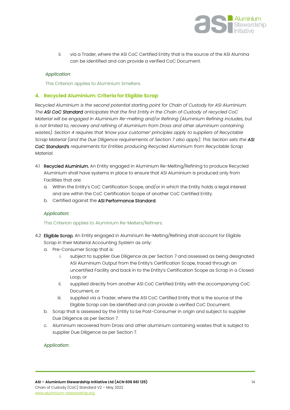

ii. via a Trader, where the ASI CoC Certified Entity that is the source of the ASI Alumina can be identified and can provide a verified CoC Document.

#### *Application:*

This Criterion applies to Aluminium Smelters.

#### <span id="page-13-0"></span>**4. Recycled Aluminium: Criteria for Eligible Scrap**

*Recycled Aluminium is the second potential starting point for Chain of Custody for ASI Aluminium. The ASI CoC Standard anticipates that the first Entity in the Chain of Custody of recycled CoC Material will be engaged in Aluminium Re-melting and/or Refining (Aluminium Refining includes, but is not limited to, recovery and refining of Aluminium from Dross and other aluminium containing wastes). Section 4 requires that 'know your customer' principles apply to suppliers of Recyclable Scrap Material (and the Due Diligence requirements of Section 7 also apply). This Section sets the ASI CoC Standard's requirements for Entities producing Recycled Aluminium from Recyclable Scrap Material.* 

- 4.1 Recycled Aluminium. An Entity engaged in Aluminium Re-Melting/Refining to produce Recycled Aluminium shall have systems in place to ensure that ASI Aluminium is produced only from Facilities that are:
	- a. Within the Entity's CoC Certification Scope, and/or in which the Entity holds a legal interest and are within the CoC Certification Scope of another CoC Certified Entity.
	- b. Certified against the ASI Performance Standard.

#### *Application:*

#### This Criterion applies to Aluminium Re-Melters/Refiners.

- 4.2 Eligible Scrap. An Entity engaged in Aluminium Re-Melting/Refining shall account for Eligible Scrap in their Material Accounting System as only:
	- a. Pre-Consumer Scrap that is:
		- i. subject to supplier Due Diligence as per Section 7 and assessed as being designated ASI Aluminium Output from the Entity's Certification Scope, traced through an uncertified Facility and back in to the Entity's Certification Scope as Scrap in a Closed Loop, or
		- ii. supplied directly from another ASI CoC Certified Entity with the accompanying CoC Document, or
		- iii. supplied via a Trader, where the ASI CoC Certified Entity that is the source of the Eligible Scrap can be identified and can provide a verified CoC Document.
	- b. Scrap that is assessed by the Entity to be Post-Consumer in origin and subject to supplier Due Diligence as per Section 7.
	- c. Aluminium recovered from Dross and other aluminium containing wastes that is subject to supplier Due Diligence as per Section 7.

#### *Application*: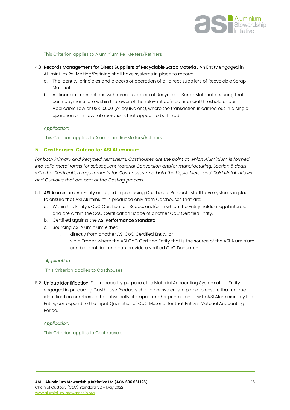

#### This Criterion applies to Aluminium Re-Melters/Refiners

- 4.3 Records Management for Direct Suppliers of Recyclable Scrap Material. An Entity engaged in
	- Aluminium Re-Melting/Refining shall have systems in place to record:
	- a. The identity, principles and place/s of operation of all direct suppliers of Recyclable Scrap Material.
	- b. All financial transactions with direct suppliers of Recyclable Scrap Material, ensuring that cash payments are within the lower of the relevant defined financial threshold under Applicable Law or US\$10,000 (or equivalent), where the transaction is carried out in a single operation or in several operations that appear to be linked.

#### *Application:*

This Criterion applies to Aluminium Re-Melters/Refiners.

#### <span id="page-14-0"></span>**5. Casthouses: Criteria for ASI Aluminium**

*For both Primary and Recycled Aluminium, Casthouses are the point at which Aluminium is formed into solid metal forms for subsequent Material Conversion and/or manufacturing. Section 5 deals with the Certification requirements for Casthouses and both the Liquid Metal and Cold Metal Inflows and Outflows that are part of the Casting process.* 

- 5.1 ASI Aluminium. An Entity engaged in producing Casthouse Products shall have systems in place to ensure that ASI Aluminium is produced only from Casthouses that are:
	- a. Within the Entity's CoC Certification Scope, and/or in which the Entity holds a legal interest and are within the CoC Certification Scope of another CoC Certified Entity.
	- b. Certified against the ASI Performance Standard.
	- c. Sourcing ASI Aluminium either:
		- i. directly from another ASI CoC Certified Entity, or
		- ii. via a Trader, where the ASI CoC Certified Entity that is the source of the ASI Aluminium can be identified and can provide a verified CoC Document.

#### *Application:*

#### This Criterion applies to Casthouses.

5.2 Unique Identification. For traceability purposes, the Material Accounting System of an Entity engaged in producing Casthouse Products shall have systems in place to ensure that unique identification numbers, either physically stamped and/or printed on or with ASI Aluminium by the Entity, correspond to the Input Quantities of CoC Material for that Entity's Material Accounting Period.

#### *Application:*

This Criterion applies to Casthouses.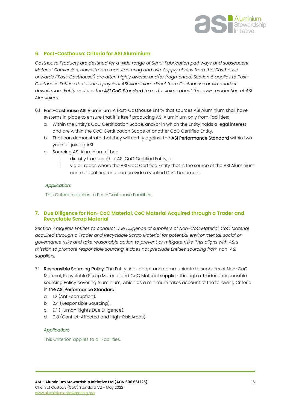

#### <span id="page-15-0"></span>**6. Post-Casthouse: Criteria for ASI Aluminium**

*Casthouse Products are destined for a wide range of Semi-Fabrication pathways and subsequent Material Conversion, downstream manufacturing and use. Supply chains from the Casthouse onwards ('Post-Casthouse') are often highly diverse and/or fragmented. Section 6 applies to Post-Casthouse Entities that source physical ASI Aluminium direct from Casthouses or via another downstream Entity and use the ASI CoC Standard to make claims about their own production of ASI Aluminium.*

- 6.1 Post-Casthouse ASI Aluminium. A Post-Casthouse Entity that sources ASI Aluminium shall have systems in place to ensure that it is itself producing ASI Aluminium only from Facilities:
	- a. Within the Entity's CoC Certification Scope, and/or in which the Entity holds a legal interest and are within the CoC Certification Scope of another CoC Certified Entity.
	- b. That can demonstrate that they will certify against the ASI Performance Standard within two years of joining ASI.
	- c. Sourcing ASI Aluminium either:
		- i. directly from another ASI CoC Certified Entity, or
		- ii. via a Trader, where the ASI CoC Certified Entity that is the source of the ASI Aluminium can be identified and can provide a verified CoC Document.

#### *Application:*

This Criterion applies to Post-Casthouse Facilities.

#### <span id="page-15-1"></span>**7. Due Diligence for Non-CoC Material, CoC Material Acquired through a Trader and Recyclable Scrap Material**

*Section 7 requires Entities to conduct Due Diligence of suppliers of Non-CoC Material, CoC Material acquired through a Trader and Recyclable Scrap Material for potential environmental, social or governance risks and take reasonable action to prevent or mitigate risks. This aligns with ASI's mission to promote responsible sourcing. It does not preclude Entities sourcing from non-ASI suppliers.*

- 7.1 Responsible Sourcing Policy. The Entity shall adopt and communicate to suppliers of Non-CoC Material, Recyclable Scrap Material and CoC Material supplied through a Trader a responsible sourcing Policy covering Aluminium, which as a minimum takes account of the following Criteria in the ASI Performance Standard:
	- a. 1.2 (Anti-corruption).
	- b. 2.4 (Responsible Sourcing).
	- c. 9.1 (Human Rights Due Diligence).
	- d. 9.8 (Conflict-Affected and High-Risk Areas).

#### *Application:*

This Criterion applies to all Facilities.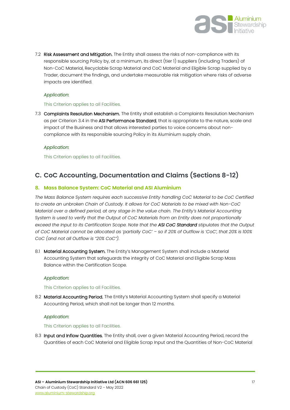

7.2 Risk Assessment and Mitigation. The Entity shall assess the risks of non-compliance with its responsible sourcing Policy by, at a minimum, its direct (tier 1) suppliers (including Traders) of Non-CoC Material, Recyclable Scrap Material and CoC Material and Eligible Scrap supplied by a Trader, document the findings, and undertake measurable risk mitigation where risks of adverse impacts are identified.

#### *Application:*

#### This Criterion applies to all Facilities.

7.3 Complaints Resolution Mechanism. The Entity shall establish a Complaints Resolution Mechanism as per Criterion 3.4 in the ASI Performance Standard, that is appropriate to the nature, scale and impact of the Business and that allows interested parties to voice concerns about noncompliance with its responsible sourcing Policy in its Aluminium supply chain.

#### *Application:*

This Criterion applies to all Facilities.

# <span id="page-16-0"></span>**C. CoC Accounting, Documentation and Claims (Sections 8-12)**

#### <span id="page-16-1"></span>**8. Mass Balance System: CoC Material and ASI Aluminium**

*The Mass Balance System requires each successive Entity handling CoC Material to be CoC Certified to create an unbroken Chain of Custody. It allows for CoC Materials to be mixed with Non-CoC Material over a defined period, at any stage in the value chain. The Entity's Material Accounting System is used to verify that the Output of CoC Materials from an Entity does not proportionally exceed the Input to its Certification Scope. Note that the ASI CoC Standard stipulates that the Output of CoC Material cannot be allocated as 'partially CoC' – so if 20% of Outflow is 'CoC', that 20% is 100% CoC (and not all Outflow is "20% CoC").*

8.1 Material Accounting System. The Entity's Management System shall include a Material Accounting System that safeguards the integrity of CoC Material and Eligible Scrap Mass Balance within the Certification Scope.

#### *Application:*

#### This Criterion applies to all Facilities.

8.2 Material Accounting Period. The Entity's Material Accounting System shall specify a Material Accounting Period, which shall not be longer than 12 months.

#### *Application:*

#### This Criterion applies to all Facilities.

8.3 Input and Inflow Quantities. The Entity shall, over a given Material Accounting Period, record the Quantities of each CoC Material and Eligible Scrap Input and the Quantities of Non-CoC Material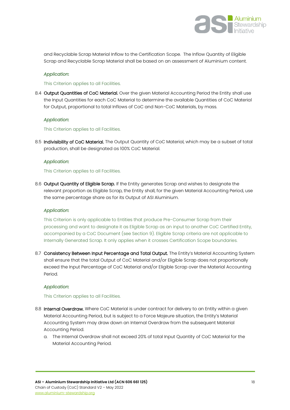

and Recyclable Scrap Material Inflow to the Certification Scope. The Inflow Quantity of Eligible Scrap and Recyclable Scrap Material shall be based on an assessment of Aluminium content.

#### *Application:*

#### This Criterion applies to all Facilities.

8.4 Output Quantities of CoC Material. Over the given Material Accounting Period the Entity shall use the Input Quantities for each CoC Material to determine the available Quantities of CoC Material for Output, proportional to total Inflows of CoC and Non-CoC Materials, by mass.

#### *Application:*

This Criterion applies to all Facilities.

8.5 Indivisibility of CoC Material. The Output Quantity of CoC Material, which may be a subset of total production, shall be designated as 100% CoC Material.

#### *Application:*

#### This Criterion applies to all Facilities.

8.6 Output Quantity of Eligible Scrap. If the Entity generates Scrap and wishes to designate the relevant proportion as Eligible Scrap, the Entity shall, for the given Material Accounting Period, use the same percentage share as for its Output of ASI Aluminium.

#### *Application:*

This Criterion is only applicable to Entities that produce Pre-Consumer Scrap from their processing and want to designate it as Eligible Scrap as an input to another CoC Certified Entity, accompanied by a CoC Document (see Section 9). Eligible Scrap criteria are not applicable to Internally Generated Scrap. It only applies when it crosses Certification Scope boundaries.

8.7 Consistency Between Input Percentage and Total Output. The Entity's Material Accounting System shall ensure that the total Output of CoC Material and/or Eligible Scrap does not proportionally exceed the Input Percentage of CoC Material and/or Eligible Scrap over the Material Accounting Period.

#### *Application:*

#### This Criterion applies to all Facilities.

- 8.8 Internal Overdraw. Where CoC Material is under contract for delivery to an Entity within a given Material Accounting Period, but is subject to a Force Majeure situation, the Entity's Material Accounting System may draw down an Internal Overdraw from the subsequent Material Accounting Period.
	- a. The Internal Overdraw shall not exceed 20% of total Input Quantity of CoC Material for the Material Accounting Period.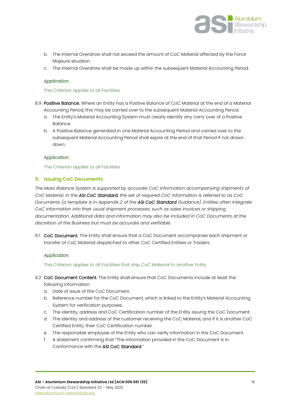

- b. The Internal Overdraw shall not exceed the amount of CoC Material affected by the Force Majeure situation.
- c. The Internal Overdraw shall be made up within the subsequent Material Accounting Period.

#### *Application:*

#### This Criterion applies to all Facilities.

- 8.9 Positive Balance. Where an Entity has a Positive Balance of CoC Material at the end of a Material Accounting Period, this may be carried over to the subsequent Material Accounting Period.
	- a. The Entity's Material Accounting System must clearly identify any carry over of a Positive Balance.
	- b. A Positive Balance generated in one Material Accounting Period and carried over to the subsequent Material Accounting Period shall expire at the end of that Period if not drawn down.

#### *Application:*

This Criterion applies to all Facilities.

#### <span id="page-18-0"></span>**9. Issuing CoC Documents**

*The Mass Balance System is supported by accurate CoC information accompanying shipments of CoC Material. In the ASI CoC Standard, the set of required CoC information is referred to as CoC Documents (a template is in Appendix 2 of the ASI CoC Standard Guidance). Entities often integrate CoC information into their usual shipment processes, such as sales invoices or shipping documentation. Additional data and information may also be included in CoC Documents at the discretion of the Business but must be accurate and verifiable.* 

9.1 CoC Document. The Entity shall ensure that a CoC Document accompanies each shipment or transfer of CoC Material dispatched to other CoC Certified Entities or Traders.

#### *Application:*

This Criterion applies to all Facilities that ship CoC Material to another Entity.

- 9.2 CoC Document Content. The Entity shall ensure that CoC Documents include at least the following information:
	- a. Date of issue of the CoC Document.
	- b. Reference number for the CoC Document, which is linked to the Entity's Material Accounting System for verification purposes.
	- c. The identity, address and CoC Certification number of the Entity issuing the CoC Document.
	- d. The identity and address of the customer receiving the CoC Material, and if it is another CoC Certified Entity, their CoC Certification number.
	- e. The responsible employee of the Entity who can verify information in the CoC Document.
	- f. A statement confirming that "The information provided in the CoC Document is in Conformance with the ASI CoC Standard."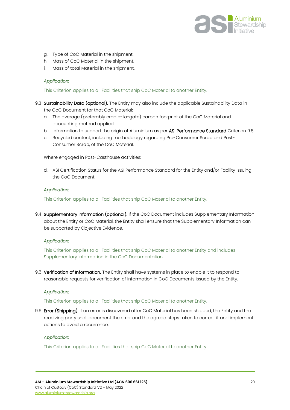

- g. Type of CoC Material in the shipment.
- h. Mass of CoC Material in the shipment.
- i. Mass of total Material in the shipment.

#### *Application:*

This Criterion applies to all Facilities that ship CoC Material to another Entity.

- 9.3 Sustainability Data (optional). The Entity may also include the applicable Sustainability Data in the CoC Document for that CoC Material:
	- a. The average (preferably cradle-to-gate) carbon footprint of the CoC Material and accounting method applied.
	- b. Information to support the origin of Aluminium as per ASI Performance Standard Criterion 9.8.
	- c. Recycled content, including methodology regarding Pre-Consumer Scrap and Post-Consumer Scrap, of the CoC Material.

Where engaged in Post-Casthouse activities:

d. ASI Certification Status for the ASI Performance Standard for the Entity and/or Facility issuing the CoC Document.

#### *Application:*

This Criterion applies to all Facilities that ship CoC Material to another Entity.

9.4 Supplementary Information (optional). If the CoC Document includes Supplementary Information about the Entity or CoC Material, the Entity shall ensure that the Supplementary Information can be supported by Objective Evidence.

#### *Application:*

This Criterion applies to all Facilities that ship CoC Material to another Entity and includes Supplementary information in the CoC Documentation.

9.5 Verification of Information. The Entity shall have systems in place to enable it to respond to reasonable requests for verification of information in CoC Documents issued by the Entity.

#### *Application:*

This Criterion applies to all Facilities that ship CoC Material to another Entity.

9.6 Error (Shipping). If an error is discovered after CoC Material has been shipped, the Entity and the receiving party shall document the error and the agreed steps taken to correct it and implement actions to avoid a recurrence.

#### *Application:*

This Criterion applies to all Facilities that ship CoC Material to another Entity.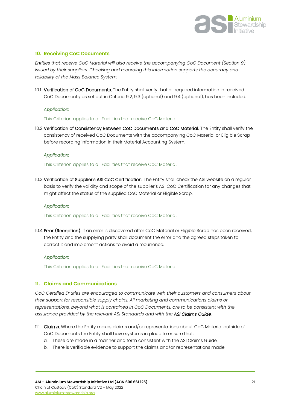

#### <span id="page-20-0"></span>**10. Receiving CoC Documents**

*Entities that receive CoC Material will also receive the accompanying CoC Document (Section 9)*  issued by their suppliers. Checking and recording this information supports the accuracy and *reliability of the Mass Balance System.*

10.1 Verification of CoC Documents. The Entity shall verify that all required information in received CoC Documents, as set out in Criteria 9.2, 9.3 (optional) and 9.4 (optional), has been included.

#### *Application:*

This Criterion applies to all Facilities that receive CoC Material.

10.2 Verification of Consistency Between CoC Documents and CoC Material. The Entity shall verify the consistency of received CoC Documents with the accompanying CoC Material or Eligible Scrap before recording information in their Material Accounting System.

#### *Application:*

This Criterion applies to all Facilities that receive CoC Material.

10.3 Verification of Supplier's ASI CoC Certification. The Entity shall check the ASI website on a regular basis to verify the validity and scope of the supplier's ASI CoC Certification for any changes that might affect the status of the supplied CoC Material or Eligible Scrap.

#### *Application:*

This Criterion applies to all Facilities that receive CoC Material.

10.4 **Error (Reception).** If an error is discovered after CoC Material or Eligible Scrap has been received, the Entity and the supplying party shall document the error and the agreed steps taken to correct it and implement actions to avoid a recurrence.

#### *Application:*

This Criterion applies to all Facilities that receive CoC Material

#### <span id="page-20-1"></span>**11. Claims and Communications**

*CoC Certified Entities are encouraged to communicate with their customers and consumers about their support for responsible supply chains. All marketing and communications claims or representations, beyond what is contained in CoC Documents, are to be consistent with the assurance provided by the relevant ASI Standards and with the ASI Claims Guide.*

- 11.1 Claims. Where the Entity makes claims and/or representations about CoC Material outside of CoC Documents the Entity shall have systems in place to ensure that:
	- a. These are made in a manner and form consistent with the ASI Claims Guide.
	- b. There is verifiable evidence to support the claims and/or representations made.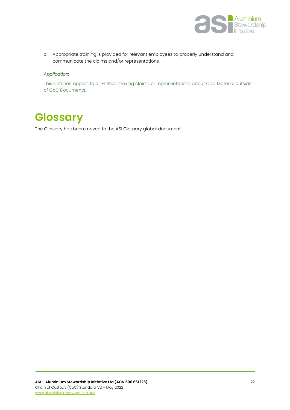

c. Appropriate training is provided for relevant employees to properly understand and communicate the claims and/or representations.

#### *Application:*

This Criterion applies to all Entities making claims or representations about CoC Material outside of CoC Documents.

# <span id="page-21-0"></span>**Glossary**

The Glossary has been moved to the ASI Glossary global document.